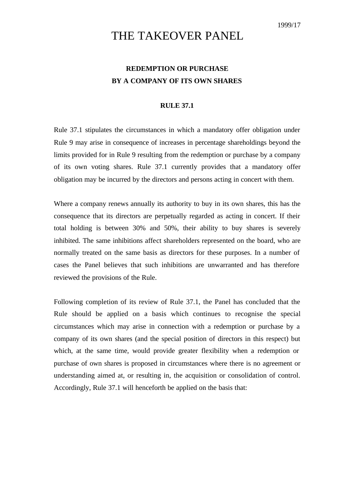## THE TAKEOVER PANEL

## **REDEMPTION OR PURCHASE BY A COMPANY OF ITS OWN SHARES**

## **RULE 37.1**

Rule 37.1 stipulates the circumstances in which a mandatory offer obligation under Rule 9 may arise in consequence of increases in percentage shareholdings beyond the limits provided for in Rule 9 resulting from the redemption or purchase by a company of its own voting shares. Rule 37.1 currently provides that a mandatory offer obligation may be incurred by the directors and persons acting in concert with them.

Where a company renews annually its authority to buy in its own shares, this has the consequence that its directors are perpetually regarded as acting in concert. If their total holding is between 30% and 50%, their ability to buy shares is severely inhibited. The same inhibitions affect shareholders represented on the board, who are normally treated on the same basis as directors for these purposes. In a number of cases the Panel believes that such inhibitions are unwarranted and has therefore reviewed the provisions of the Rule.

Following completion of its review of Rule 37.1, the Panel has concluded that the Rule should be applied on a basis which continues to recognise the special circumstances which may arise in connection with a redemption or purchase by a company of its own shares (and the special position of directors in this respect) but which, at the same time, would provide greater flexibility when a redemption or purchase of own shares is proposed in circumstances where there is no agreement or understanding aimed at, or resulting in, the acquisition or consolidation of control. Accordingly, Rule 37.1 will henceforth be applied on the basis that: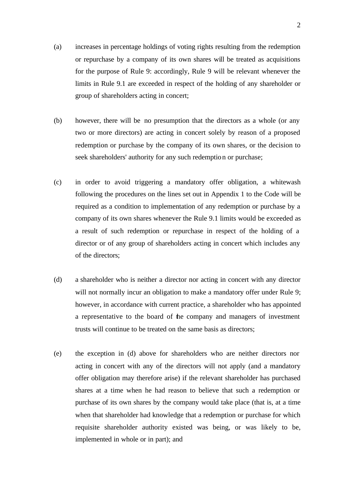- (a) increases in percentage holdings of voting rights resulting from the redemption or repurchase by a company of its own shares will be treated as acquisitions for the purpose of Rule 9: accordingly, Rule 9 will be relevant whenever the limits in Rule 9.1 are exceeded in respect of the holding of any shareholder or group of shareholders acting in concert;
- (b) however, there will be no presumption that the directors as a whole (or any two or more directors) are acting in concert solely by reason of a proposed redemption or purchase by the company of its own shares, or the decision to seek shareholders' authority for any such redemption or purchase;
- (c) in order to avoid triggering a mandatory offer obligation, a whitewash following the procedures on the lines set out in Appendix 1 to the Code will be required as a condition to implementation of any redemption or purchase by a company of its own shares whenever the Rule 9.1 limits would be exceeded as a result of such redemption or repurchase in respect of the holding of a director or of any group of shareholders acting in concert which includes any of the directors;
- (d) a shareholder who is neither a director nor acting in concert with any director will not normally incur an obligation to make a mandatory offer under Rule 9; however, in accordance with current practice, a shareholder who has appointed a representative to the board of the company and managers of investment trusts will continue to be treated on the same basis as directors;
- (e) the exception in (d) above for shareholders who are neither directors nor acting in concert with any of the directors will not apply (and a mandatory offer obligation may therefore arise) if the relevant shareholder has purchased shares at a time when he had reason to believe that such a redemption or purchase of its own shares by the company would take place (that is, at a time when that shareholder had knowledge that a redemption or purchase for which requisite shareholder authority existed was being, or was likely to be, implemented in whole or in part); and